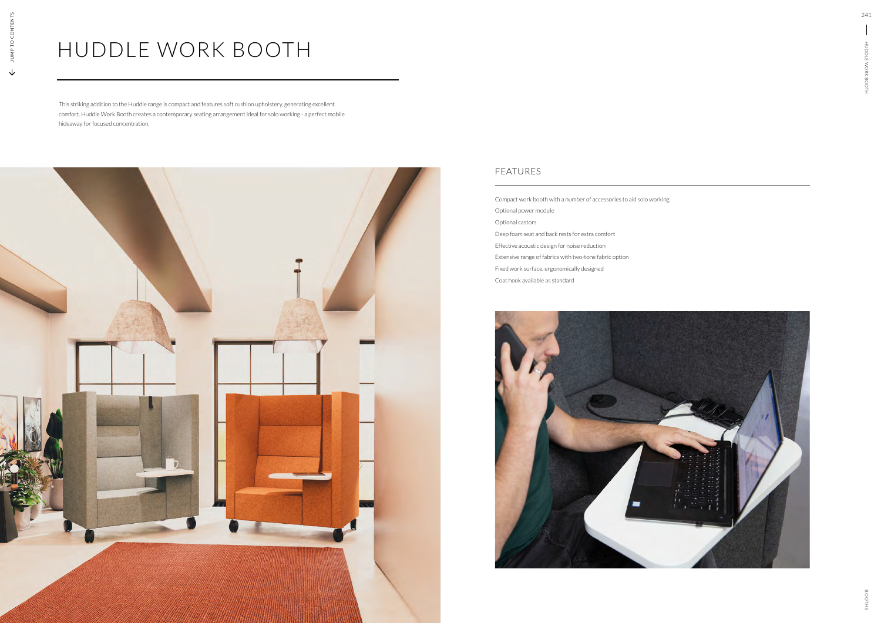## HUDDLE WORK BOOTH

This striking addition to the Huddle range is compact and features soft cushion upholstery, generating excellent comfort. Huddle Work Booth creates a contemporary seating arrangement ideal for solo working - a perfect mobile hideaway for focused concentration.



Compact work booth with a number of accessories to aid solo working Optional power module Optional castors Deep foam seat and back rests for extra comfort Effective acoustic design for noise reduction Extensive range of fabrics with two-tone fabric option Fixed work surface, ergonomically designed Coat hook available as standard



## FEATURES